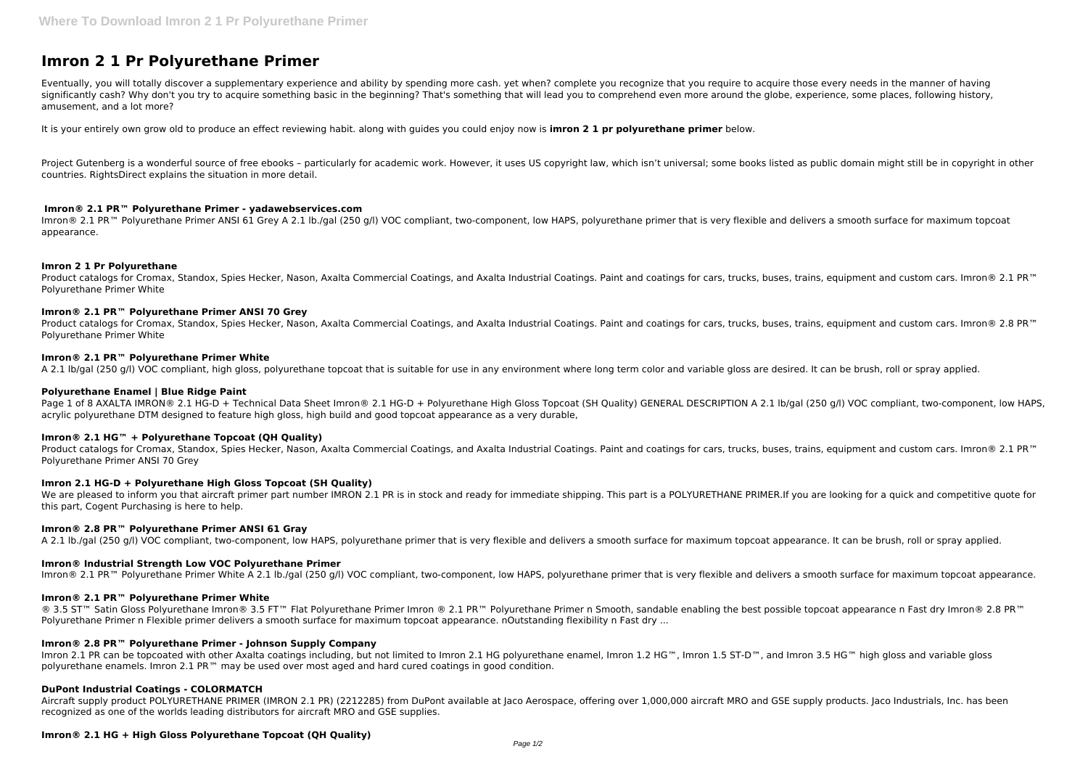# **Imron 2 1 Pr Polyurethane Primer**

Eventually, you will totally discover a supplementary experience and ability by spending more cash. yet when? complete you recognize that you require to acquire those every needs in the manner of having significantly cash? Why don't you try to acquire something basic in the beginning? That's something that will lead you to comprehend even more around the globe, experience, some places, following history, amusement, and a lot more?

Project Gutenberg is a wonderful source of free ebooks - particularly for academic work. However, it uses US copyright law, which isn't universal; some books listed as public domain might still be in copyright in other countries. RightsDirect explains the situation in more detail.

It is your entirely own grow old to produce an effect reviewing habit. along with guides you could enjoy now is **imron 2 1 pr polyurethane primer** below.

Imron® 2.1 PR<sup>™</sup> Polyurethane Primer ANSI 61 Grey A 2.1 lb./gal (250 g/l) VOC compliant, two-component, low HAPS, polyurethane primer that is very flexible and delivers a smooth surface for maximum topcoat appearance.

Product catalogs for Cromax, Standox, Spies Hecker, Nason, Axalta Commercial Coatings, and Axalta Industrial Coatings. Paint and coatings for cars, trucks, buses, trains, equipment and custom cars. Imron® 2.1 PR™ Polyurethane Primer White

Product catalogs for Cromax, Standox, Spies Hecker, Nason, Axalta Commercial Coatings, and Axalta Industrial Coatings. Paint and coatings for cars, trucks, buses, trains, equipment and custom cars. Imron® 2.8 PR™ Polyurethane Primer White

## **Imron® 2.1 PR™ Polyurethane Primer - yadawebservices.com**

Page 1 of 8 AXALTA IMRON® 2.1 HG-D + Technical Data Sheet Imron® 2.1 HG-D + Polyurethane High Gloss Topcoat (SH Quality) GENERAL DESCRIPTION A 2.1 lb/gal (250 g/l) VOC compliant, two-component, low HAPS, acrylic polyurethane DTM designed to feature high gloss, high build and good topcoat appearance as a very durable,

## **Imron 2 1 Pr Polyurethane**

Product catalogs for Cromax, Standox, Spies Hecker, Nason, Axalta Commercial Coatings, and Axalta Industrial Coatings. Paint and coatings for cars, trucks, buses, trains, equipment and custom cars. Imron® 2.1 PR™ Polyurethane Primer ANSI 70 Grey

We are pleased to inform you that aircraft primer part number IMRON 2.1 PR is in stock and ready for immediate shipping. This part is a POLYURETHANE PRIMER.If you are looking for a quick and competitive quote for this part, Cogent Purchasing is here to help.

## **Imron® 2.1 PR™ Polyurethane Primer ANSI 70 Grey**

## **Imron® 2.1 PR™ Polyurethane Primer White**

A 2.1 lb/gal (250 g/l) VOC compliant, high gloss, polyurethane topcoat that is suitable for use in any environment where long term color and variable gloss are desired. It can be brush, roll or spray applied.

® 3.5 ST™ Satin Gloss Polyurethane Imron® 3.5 FT™ Flat Polyurethane Primer Imron ® 2.1 PR™ Polyurethane Primer n Smooth, sandable enabling the best possible topcoat appearance n Fast dry Imron® 2.8 PR™ Polyurethane Primer n Flexible primer delivers a smooth surface for maximum topcoat appearance. nOutstanding flexibility n Fast dry ...

## **Polyurethane Enamel | Blue Ridge Paint**

Imron 2.1 PR can be topcoated with other Axalta coatings including, but not limited to Imron 2.1 HG polyurethane enamel, Imron 1.2 HG™, Imron 1.5 ST-D™, and Imron 3.5 HG™ high gloss and variable gloss polyurethane enamels. Imron 2.1 PR™ may be used over most aged and hard cured coatings in good condition.

## **Imron® 2.1 HG™ + Polyurethane Topcoat (QH Quality)**

## **Imron 2.1 HG-D + Polyurethane High Gloss Topcoat (SH Quality)**

## **Imron® 2.8 PR™ Polyurethane Primer ANSI 61 Gray**

A 2.1 lb./gal (250 g/l) VOC compliant, two-component, low HAPS, polyurethane primer that is very flexible and delivers a smooth surface for maximum topcoat appearance. It can be brush, roll or spray applied.

#### **Imron® Industrial Strength Low VOC Polyurethane Primer**

Imron® 2.1 PR<sup>™</sup> Polyurethane Primer White A 2.1 lb./gal (250 g/l) VOC compliant, two-component, low HAPS, polyurethane primer that is very flexible and delivers a smooth surface for maximum topcoat appearance.

## **Imron® 2.1 PR™ Polyurethane Primer White**

#### **Imron® 2.8 PR™ Polyurethane Primer - Johnson Supply Company**

## **DuPont Industrial Coatings - COLORMATCH**

Aircraft supply product POLYURETHANE PRIMER (IMRON 2.1 PR) (2212285) from DuPont available at Jaco Aerospace, offering over 1,000,000 aircraft MRO and GSE supply products. Jaco Industrials, Inc. has been recognized as one of the worlds leading distributors for aircraft MRO and GSE supplies.

## **Imron® 2.1 HG + High Gloss Polyurethane Topcoat (QH Quality)**